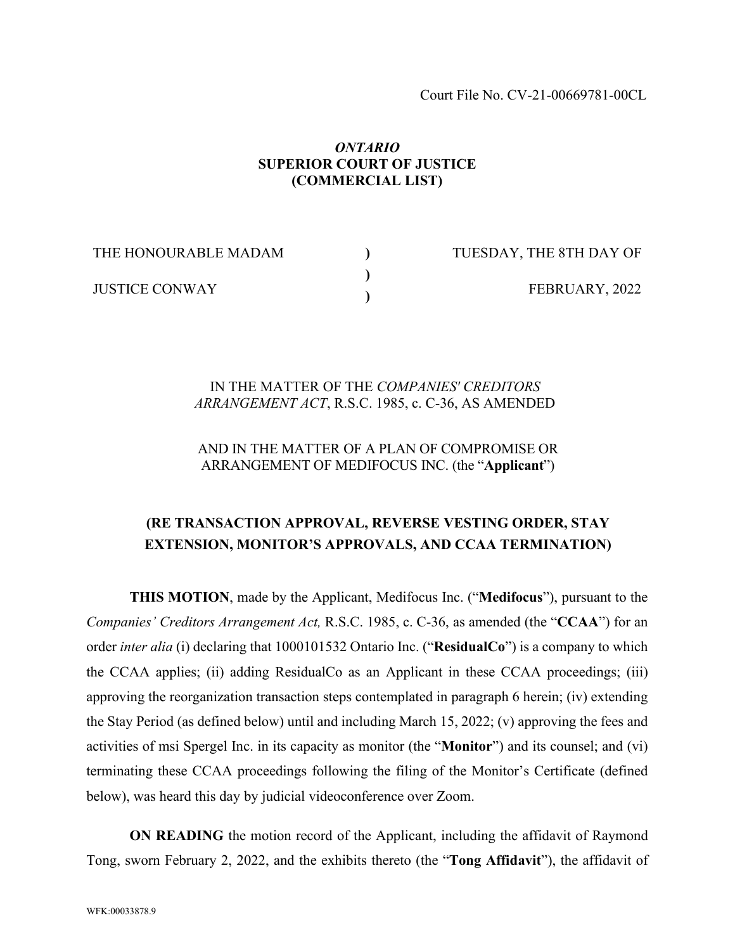### *ONTARIO* **SUPERIOR COURT OF JUSTICE (COMMERCIAL LIST)**

**) ) )**

THE HONOURABLE MADAM

JUSTICE CONWAY

TUESDAY, THE 8TH DAY OF FEBRUARY, 2022

## IN THE MATTER OF THE *COMPANIES' CREDITORS ARRANGEMENT ACT*, R.S.C. 1985, c. C-36, AS AMENDED

## AND IN THE MATTER OF A PLAN OF COMPROMISE OR ARRANGEMENT OF MEDIFOCUS INC. (the "**Applicant**")

# **(RE TRANSACTION APPROVAL, REVERSE VESTING ORDER, STAY EXTENSION, MONITOR'S APPROVALS, AND CCAA TERMINATION)**

**THIS MOTION**, made by the Applicant, Medifocus Inc. ("**Medifocus**"), pursuant to the *Companies' Creditors Arrangement Act,* R.S.C. 1985, c. C-36, as amended (the "**CCAA**") for an order *inter alia* (i) declaring that 1000101532 Ontario Inc. ("**ResidualCo**") is a company to which the CCAA applies; (ii) adding ResidualCo as an Applicant in these CCAA proceedings; (iii) approving the reorganization transaction steps contemplated in paragraph 6 herein; (iv) extending the Stay Period (as defined below) until and including March 15, 2022; (v) approving the fees and activities of msi Spergel Inc. in its capacity as monitor (the "**Monitor**") and its counsel; and (vi) terminating these CCAA proceedings following the filing of the Monitor's Certificate (defined below), was heard this day by judicial videoconference over Zoom.

**ON READING** the motion record of the Applicant, including the affidavit of Raymond Tong, sworn February 2, 2022, and the exhibits thereto (the "**Tong Affidavit**"), the affidavit of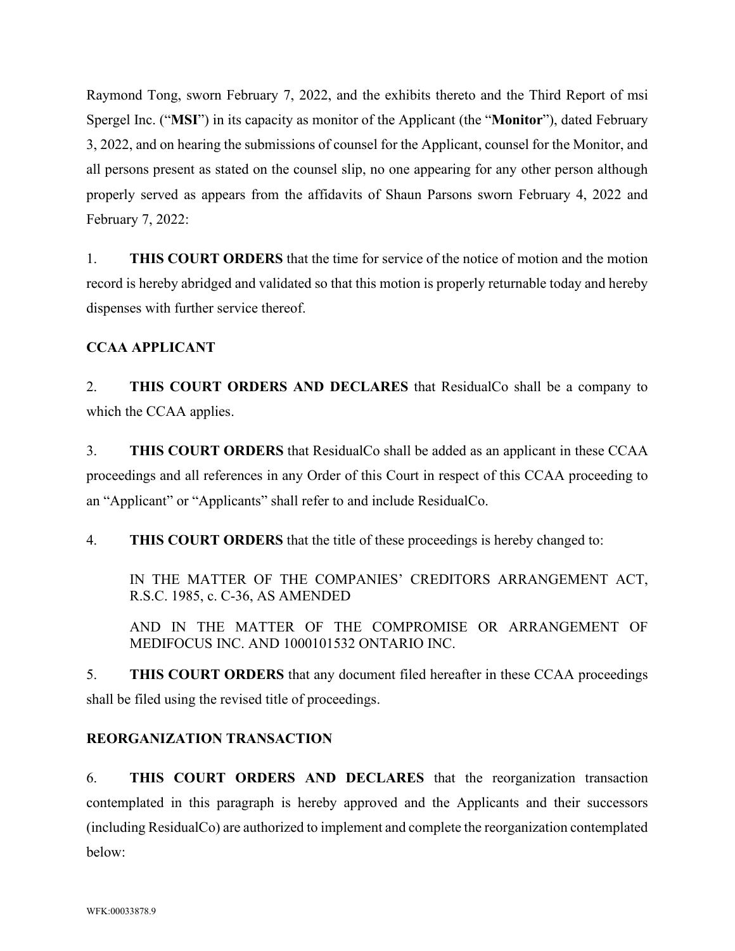Raymond Tong, sworn February 7, 2022, and the exhibits thereto and the Third Report of msi Spergel Inc. ("**MSI**") in its capacity as monitor of the Applicant (the "**Monitor**"), dated February 3, 2022, and on hearing the submissions of counsel for the Applicant, counsel for the Monitor, and all persons present as stated on the counsel slip, no one appearing for any other person although properly served as appears from the affidavits of Shaun Parsons sworn February 4, 2022 and February 7, 2022:

1. **THIS COURT ORDERS** that the time for service of the notice of motion and the motion record is hereby abridged and validated so that this motion is properly returnable today and hereby dispenses with further service thereof.

# **CCAA APPLICANT**

2. **THIS COURT ORDERS AND DECLARES** that ResidualCo shall be a company to which the CCAA applies.

3. **THIS COURT ORDERS** that ResidualCo shall be added as an applicant in these CCAA proceedings and all references in any Order of this Court in respect of this CCAA proceeding to an "Applicant" or "Applicants" shall refer to and include ResidualCo.

4. **THIS COURT ORDERS** that the title of these proceedings is hereby changed to:

IN THE MATTER OF THE COMPANIES' CREDITORS ARRANGEMENT ACT, R.S.C. 1985, c. C-36, AS AMENDED

AND IN THE MATTER OF THE COMPROMISE OR ARRANGEMENT OF MEDIFOCUS INC. AND 1000101532 ONTARIO INC.

5. **THIS COURT ORDERS** that any document filed hereafter in these CCAA proceedings shall be filed using the revised title of proceedings.

# **REORGANIZATION TRANSACTION**

6. **THIS COURT ORDERS AND DECLARES** that the reorganization transaction contemplated in this paragraph is hereby approved and the Applicants and their successors (including ResidualCo) are authorized to implement and complete the reorganization contemplated below: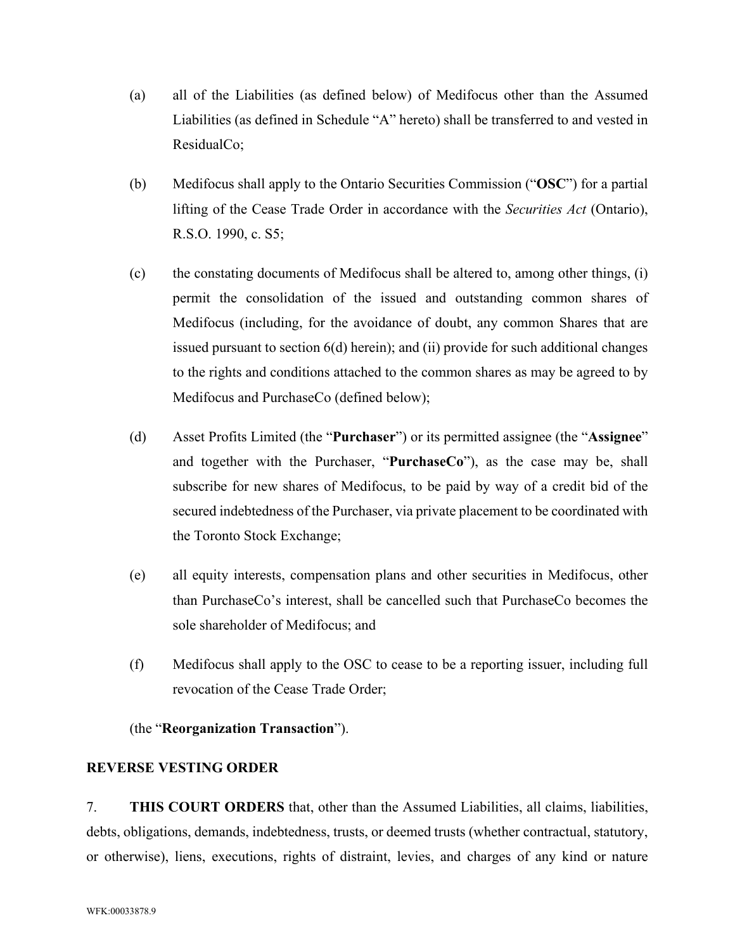- (a) all of the Liabilities (as defined below) of Medifocus other than the Assumed Liabilities (as defined in Schedule "A" hereto) shall be transferred to and vested in ResidualCo;
- (b) Medifocus shall apply to the Ontario Securities Commission ("**OSC**") for a partial lifting of the Cease Trade Order in accordance with the *Securities Act* (Ontario), R.S.O. 1990, c. S5;
- (c) the constating documents of Medifocus shall be altered to, among other things, (i) permit the consolidation of the issued and outstanding common shares of Medifocus (including, for the avoidance of doubt, any common Shares that are issued pursuant to section [6\(d\)](#page-2-0) herein); and (ii) provide for such additional changes to the rights and conditions attached to the common shares as may be agreed to by Medifocus and PurchaseCo (defined below);
- <span id="page-2-0"></span>(d) Asset Profits Limited (the "**Purchaser**") or its permitted assignee (the "**Assignee**" and together with the Purchaser, "**PurchaseCo**"), as the case may be, shall subscribe for new shares of Medifocus, to be paid by way of a credit bid of the secured indebtedness of the Purchaser, via private placement to be coordinated with the Toronto Stock Exchange;
- (e) all equity interests, compensation plans and other securities in Medifocus, other than PurchaseCo's interest, shall be cancelled such that PurchaseCo becomes the sole shareholder of Medifocus; and
- (f) Medifocus shall apply to the OSC to cease to be a reporting issuer, including full revocation of the Cease Trade Order;

### (the "**Reorganization Transaction**").

#### **REVERSE VESTING ORDER**

7. **THIS COURT ORDERS** that, other than the Assumed Liabilities, all claims, liabilities, debts, obligations, demands, indebtedness, trusts, or deemed trusts (whether contractual, statutory, or otherwise), liens, executions, rights of distraint, levies, and charges of any kind or nature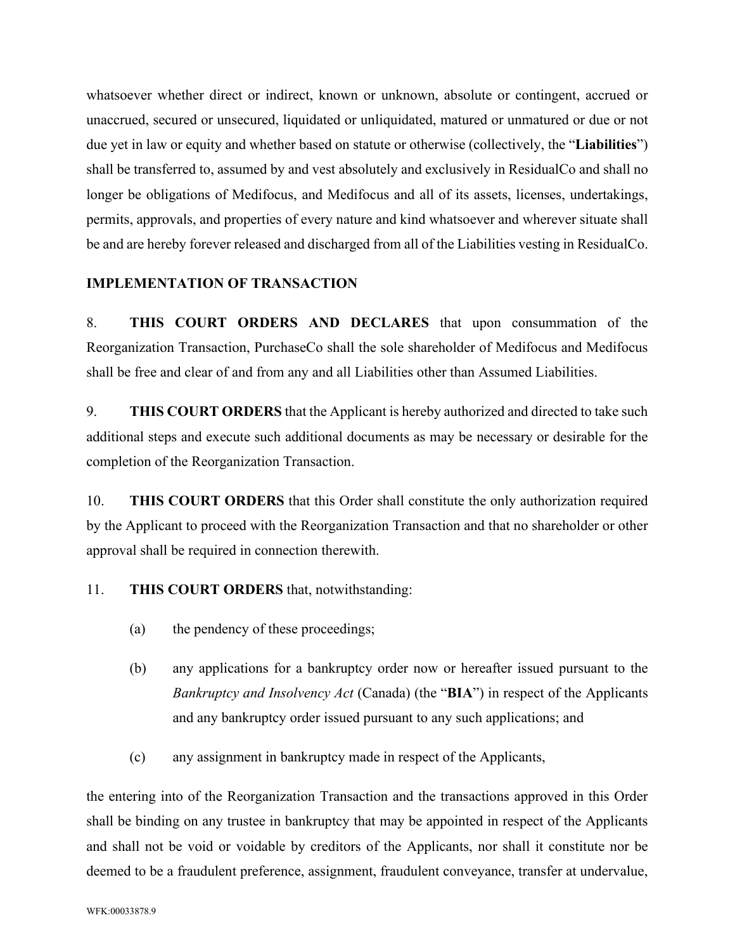whatsoever whether direct or indirect, known or unknown, absolute or contingent, accrued or unaccrued, secured or unsecured, liquidated or unliquidated, matured or unmatured or due or not due yet in law or equity and whether based on statute or otherwise (collectively, the "**Liabilities**") shall be transferred to, assumed by and vest absolutely and exclusively in ResidualCo and shall no longer be obligations of Medifocus, and Medifocus and all of its assets, licenses, undertakings, permits, approvals, and properties of every nature and kind whatsoever and wherever situate shall be and are hereby forever released and discharged from all of the Liabilities vesting in ResidualCo.

### **IMPLEMENTATION OF TRANSACTION**

8. **THIS COURT ORDERS AND DECLARES** that upon consummation of the Reorganization Transaction, PurchaseCo shall the sole shareholder of Medifocus and Medifocus shall be free and clear of and from any and all Liabilities other than Assumed Liabilities.

9. **THIS COURT ORDERS** that the Applicant is hereby authorized and directed to take such additional steps and execute such additional documents as may be necessary or desirable for the completion of the Reorganization Transaction.

10. **THIS COURT ORDERS** that this Order shall constitute the only authorization required by the Applicant to proceed with the Reorganization Transaction and that no shareholder or other approval shall be required in connection therewith.

11. **THIS COURT ORDERS** that, notwithstanding:

- (a) the pendency of these proceedings;
- (b) any applications for a bankruptcy order now or hereafter issued pursuant to the *Bankruptcy and Insolvency Act* (Canada) (the "**BIA**") in respect of the Applicants and any bankruptcy order issued pursuant to any such applications; and
- (c) any assignment in bankruptcy made in respect of the Applicants,

the entering into of the Reorganization Transaction and the transactions approved in this Order shall be binding on any trustee in bankruptcy that may be appointed in respect of the Applicants and shall not be void or voidable by creditors of the Applicants, nor shall it constitute nor be deemed to be a fraudulent preference, assignment, fraudulent conveyance, transfer at undervalue,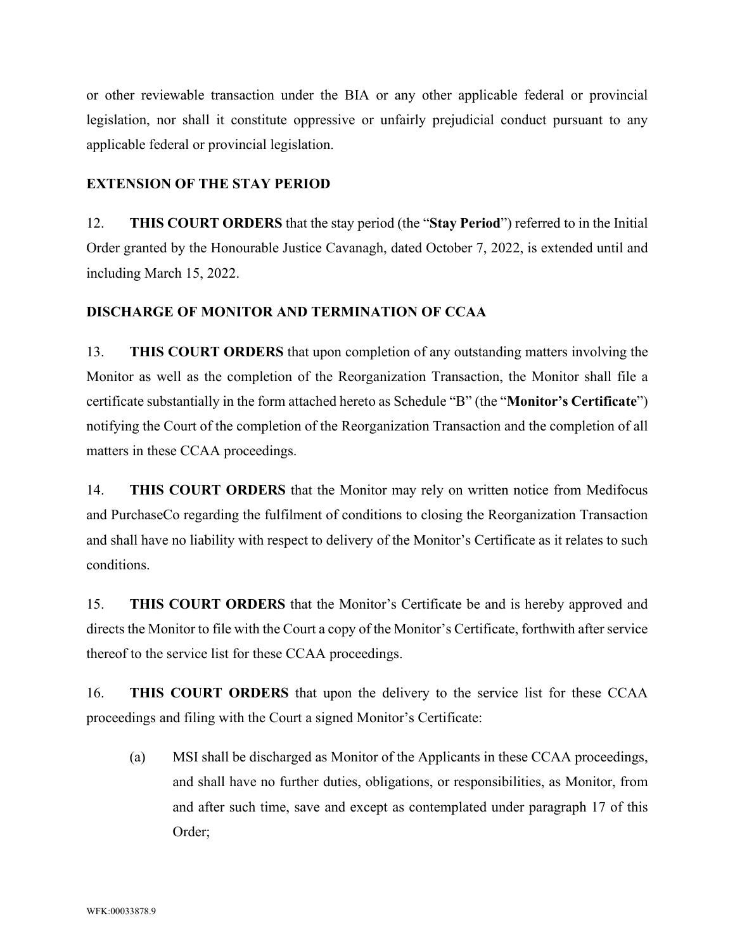or other reviewable transaction under the BIA or any other applicable federal or provincial legislation, nor shall it constitute oppressive or unfairly prejudicial conduct pursuant to any applicable federal or provincial legislation.

# **EXTENSION OF THE STAY PERIOD**

12. **THIS COURT ORDERS** that the stay period (the "**Stay Period**") referred to in the Initial Order granted by the Honourable Justice Cavanagh, dated October 7, 2022, is extended until and including March 15, 2022.

## **DISCHARGE OF MONITOR AND TERMINATION OF CCAA**

13. **THIS COURT ORDERS** that upon completion of any outstanding matters involving the Monitor as well as the completion of the Reorganization Transaction, the Monitor shall file a certificate substantially in the form attached hereto as Schedule "B" (the "**Monitor's Certificate**") notifying the Court of the completion of the Reorganization Transaction and the completion of all matters in these CCAA proceedings.

14. **THIS COURT ORDERS** that the Monitor may rely on written notice from Medifocus and PurchaseCo regarding the fulfilment of conditions to closing the Reorganization Transaction and shall have no liability with respect to delivery of the Monitor's Certificate as it relates to such conditions.

15. **THIS COURT ORDERS** that the Monitor's Certificate be and is hereby approved and directs the Monitor to file with the Court a copy of the Monitor's Certificate, forthwith after service thereof to the service list for these CCAA proceedings.

16. **THIS COURT ORDERS** that upon the delivery to the service list for these CCAA proceedings and filing with the Court a signed Monitor's Certificate:

(a) MSI shall be discharged as Monitor of the Applicants in these CCAA proceedings, and shall have no further duties, obligations, or responsibilities, as Monitor, from and after such time, save and except as contemplated under paragraph 17 of this Order;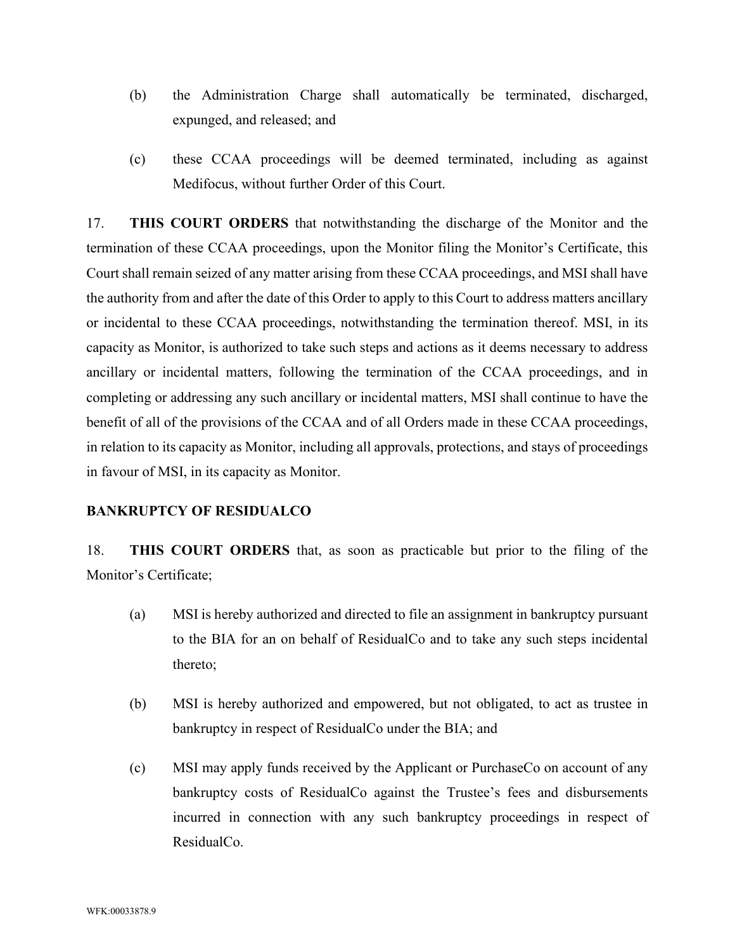- (b) the Administration Charge shall automatically be terminated, discharged, expunged, and released; and
- (c) these CCAA proceedings will be deemed terminated, including as against Medifocus, without further Order of this Court.

17. **THIS COURT ORDERS** that notwithstanding the discharge of the Monitor and the termination of these CCAA proceedings, upon the Monitor filing the Monitor's Certificate, this Court shall remain seized of any matter arising from these CCAA proceedings, and MSI shall have the authority from and after the date of this Order to apply to this Court to address matters ancillary or incidental to these CCAA proceedings, notwithstanding the termination thereof. MSI, in its capacity as Monitor, is authorized to take such steps and actions as it deems necessary to address ancillary or incidental matters, following the termination of the CCAA proceedings, and in completing or addressing any such ancillary or incidental matters, MSI shall continue to have the benefit of all of the provisions of the CCAA and of all Orders made in these CCAA proceedings, in relation to its capacity as Monitor, including all approvals, protections, and stays of proceedings in favour of MSI, in its capacity as Monitor.

### **BANKRUPTCY OF RESIDUALCO**

18. **THIS COURT ORDERS** that, as soon as practicable but prior to the filing of the Monitor's Certificate;

- (a) MSI is hereby authorized and directed to file an assignment in bankruptcy pursuant to the BIA for an on behalf of ResidualCo and to take any such steps incidental thereto;
- (b) MSI is hereby authorized and empowered, but not obligated, to act as trustee in bankruptcy in respect of ResidualCo under the BIA; and
- (c) MSI may apply funds received by the Applicant or PurchaseCo on account of any bankruptcy costs of ResidualCo against the Trustee's fees and disbursements incurred in connection with any such bankruptcy proceedings in respect of ResidualCo.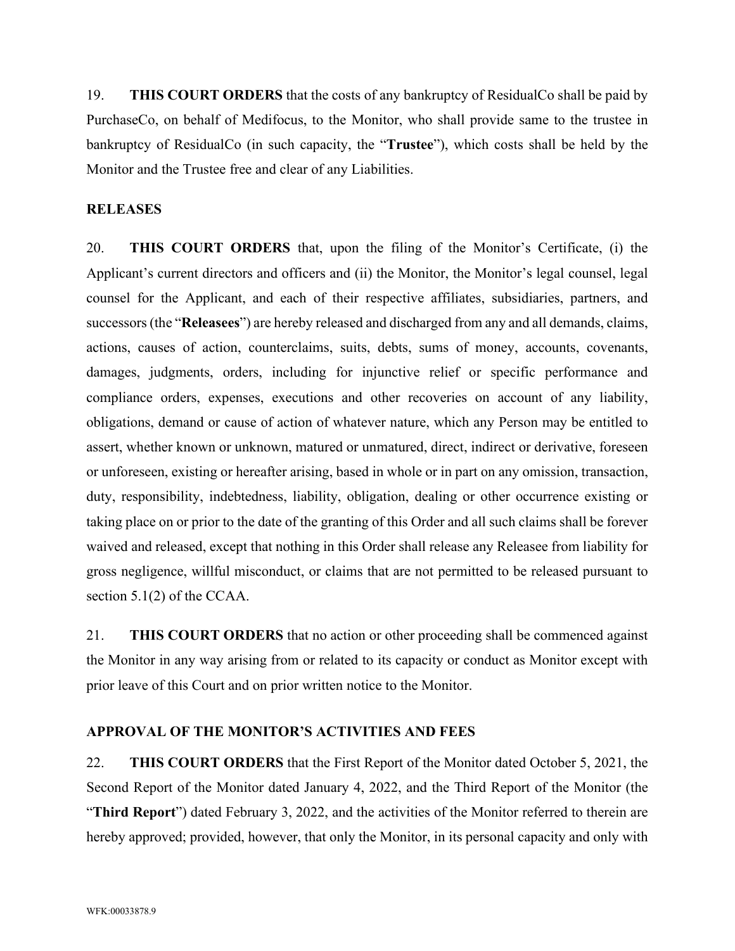19. **THIS COURT ORDERS** that the costs of any bankruptcy of ResidualCo shall be paid by PurchaseCo, on behalf of Medifocus, to the Monitor, who shall provide same to the trustee in bankruptcy of ResidualCo (in such capacity, the "**Trustee**"), which costs shall be held by the Monitor and the Trustee free and clear of any Liabilities.

#### **RELEASES**

20. **THIS COURT ORDERS** that, upon the filing of the Monitor's Certificate, (i) the Applicant's current directors and officers and (ii) the Monitor, the Monitor's legal counsel, legal counsel for the Applicant, and each of their respective affiliates, subsidiaries, partners, and successors (the "**Releasees**") are hereby released and discharged from any and all demands, claims, actions, causes of action, counterclaims, suits, debts, sums of money, accounts, covenants, damages, judgments, orders, including for injunctive relief or specific performance and compliance orders, expenses, executions and other recoveries on account of any liability, obligations, demand or cause of action of whatever nature, which any Person may be entitled to assert, whether known or unknown, matured or unmatured, direct, indirect or derivative, foreseen or unforeseen, existing or hereafter arising, based in whole or in part on any omission, transaction, duty, responsibility, indebtedness, liability, obligation, dealing or other occurrence existing or taking place on or prior to the date of the granting of this Order and all such claims shall be forever waived and released, except that nothing in this Order shall release any Releasee from liability for gross negligence, willful misconduct, or claims that are not permitted to be released pursuant to section 5.1(2) of the CCAA.

21. **THIS COURT ORDERS** that no action or other proceeding shall be commenced against the Monitor in any way arising from or related to its capacity or conduct as Monitor except with prior leave of this Court and on prior written notice to the Monitor.

#### **APPROVAL OF THE MONITOR'S ACTIVITIES AND FEES**

22. **THIS COURT ORDERS** that the First Report of the Monitor dated October 5, 2021, the Second Report of the Monitor dated January 4, 2022, and the Third Report of the Monitor (the "**Third Report**") dated February 3, 2022, and the activities of the Monitor referred to therein are hereby approved; provided, however, that only the Monitor, in its personal capacity and only with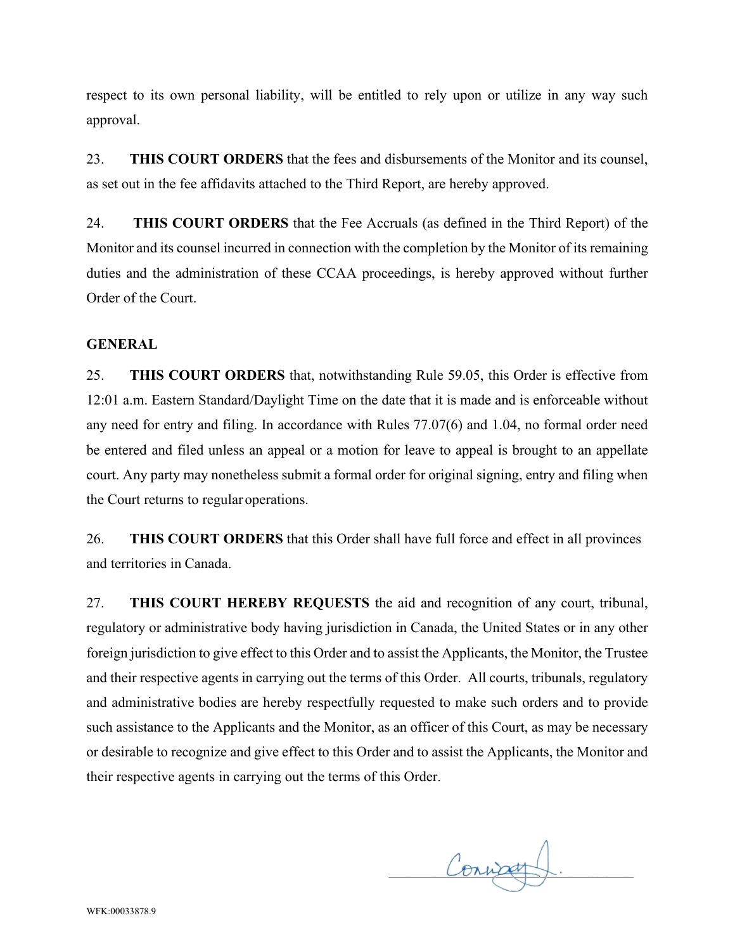respect to its own personal liability, will be entitled to rely upon or utilize in any way such approval.

23. **THIS COURT ORDERS** that the fees and disbursements of the Monitor and its counsel, as set out in the fee affidavits attached to the Third Report, are hereby approved.

24. **THIS COURT ORDERS** that the Fee Accruals (as defined in the Third Report) of the Monitor and its counsel incurred in connection with the completion by the Monitor of its remaining duties and the administration of these CCAA proceedings, is hereby approved without further Order of the Court.

### **GENERAL**

25. **THIS COURT ORDERS** that, notwithstanding Rule 59.05, this Order is effective from 12:01 a.m. Eastern Standard/Daylight Time on the date that it is made and is enforceable without any need for entry and filing. In accordance with Rules 77.07(6) and 1.04, no formal order need be entered and filed unless an appeal or a motion for leave to appeal is brought to an appellate court. Any party may nonetheless submit a formal order for original signing, entry and filing when the Court returns to regular operations.

26. **THIS COURT ORDERS** that this Order shall have full force and effect in all provinces and territories in Canada.

27. **THIS COURT HEREBY REQUESTS** the aid and recognition of any court, tribunal, regulatory or administrative body having jurisdiction in Canada, the United States or in any other foreign jurisdiction to give effect to this Order and to assist the Applicants, the Monitor, the Trustee and their respective agents in carrying out the terms of this Order. All courts, tribunals, regulatory and administrative bodies are hereby respectfully requested to make such orders and to provide such assistance to the Applicants and the Monitor, as an officer of this Court, as may be necessary or desirable to recognize and give effect to this Order and to assist the Applicants, the Monitor and their respective agents in carrying out the terms of this Order.

Conurat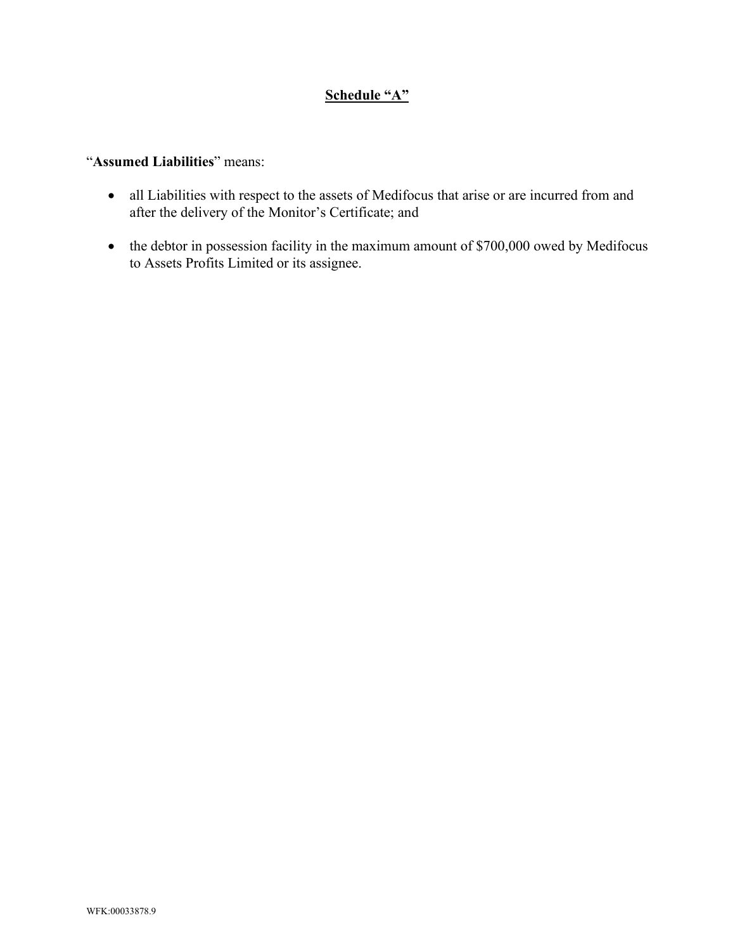# **Schedule "A"**

# "**Assumed Liabilities**" means:

- all Liabilities with respect to the assets of Medifocus that arise or are incurred from and after the delivery of the Monitor's Certificate; and
- the debtor in possession facility in the maximum amount of \$700,000 owed by Medifocus to Assets Profits Limited or its assignee.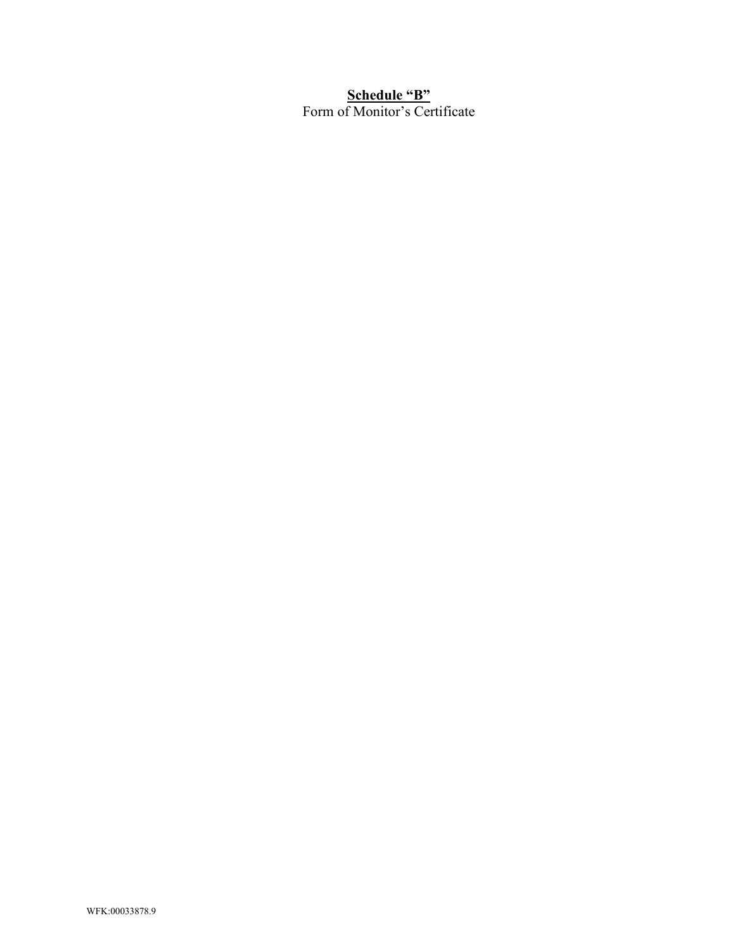# **Schedule "B"** Form of Monitor's Certificate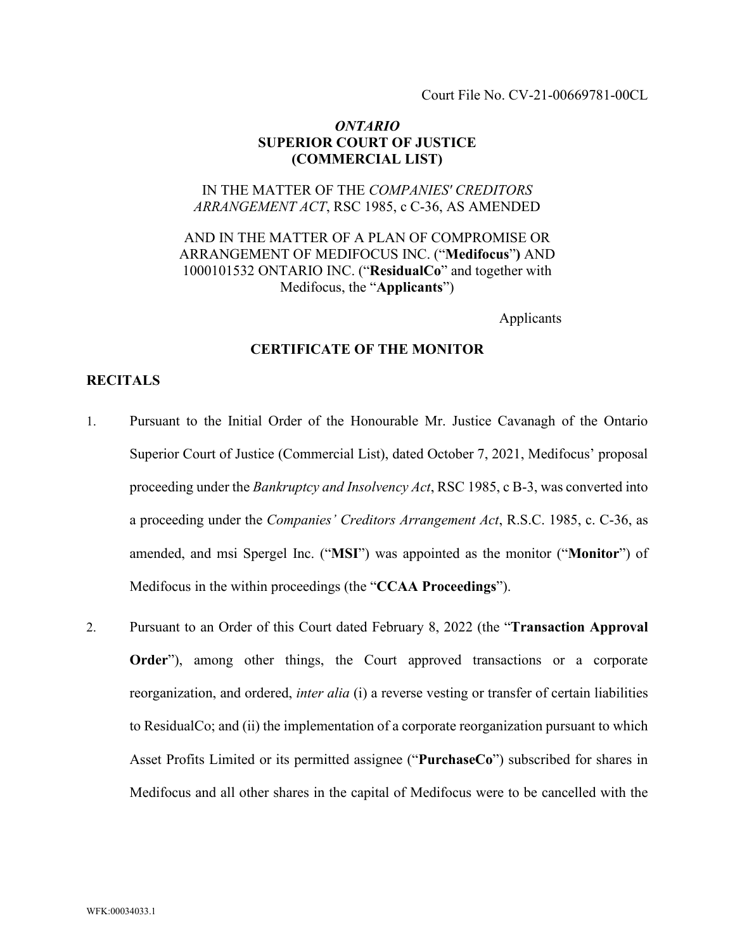Court File No. CV-21-00669781-00CL

#### *ONTARIO* **SUPERIOR COURT OF JUSTICE (COMMERCIAL LIST)**

### IN THE MATTER OF THE *COMPANIES' CREDITORS ARRANGEMENT ACT*, RSC 1985, c C-36, AS AMENDED

## AND IN THE MATTER OF A PLAN OF COMPROMISE OR ARRANGEMENT OF MEDIFOCUS INC. ("**Medifocus**"**)** AND 1000101532 ONTARIO INC. ("**ResidualCo**" and together with Medifocus, the "**Applicants**")

Applicants

#### **CERTIFICATE OF THE MONITOR**

#### **RECITALS**

- 1. Pursuant to the Initial Order of the Honourable Mr. Justice Cavanagh of the Ontario Superior Court of Justice (Commercial List), dated October 7, 2021, Medifocus' proposal proceeding under the *Bankruptcy and Insolvency Act*, RSC 1985, c B-3, was converted into a proceeding under the *Companies' Creditors Arrangement Act*, R.S.C. 1985, c. C-36, as amended, and msi Spergel Inc. ("**MSI**") was appointed as the monitor ("**Monitor**") of Medifocus in the within proceedings (the "**CCAA Proceedings**").
- 2. Pursuant to an Order of this Court dated February 8, 2022 (the "**Transaction Approval Order**"), among other things, the Court approved transactions or a corporate reorganization, and ordered, *inter alia* (i) a reverse vesting or transfer of certain liabilities to ResidualCo; and (ii) the implementation of a corporate reorganization pursuant to which Asset Profits Limited or its permitted assignee ("**PurchaseCo**") subscribed for shares in Medifocus and all other shares in the capital of Medifocus were to be cancelled with the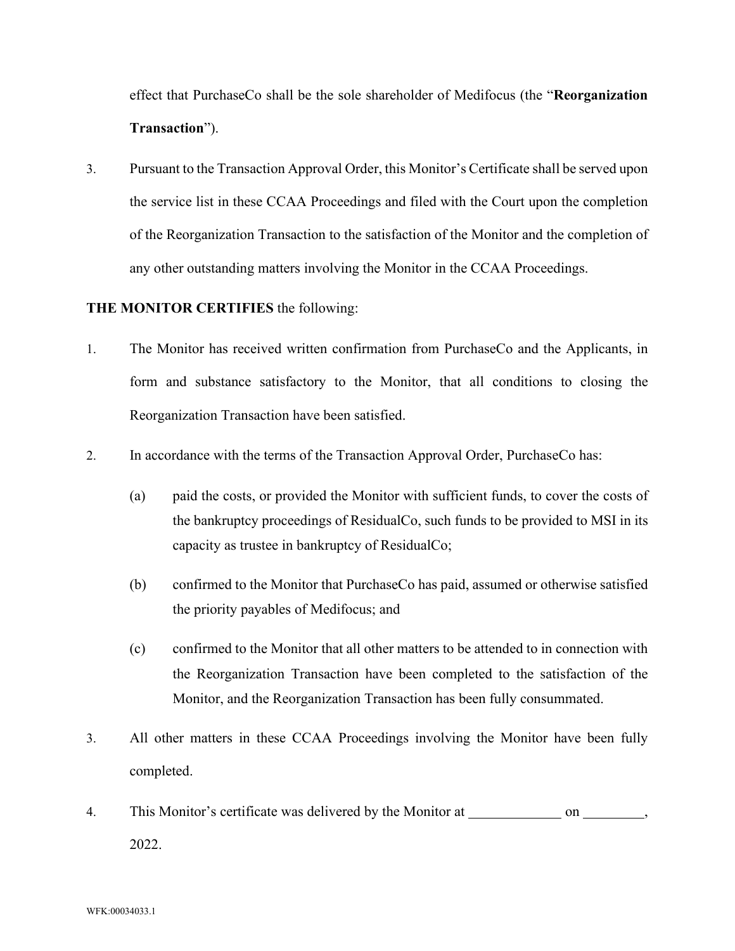effect that PurchaseCo shall be the sole shareholder of Medifocus (the "**Reorganization Transaction**").

3. Pursuant to the Transaction Approval Order, this Monitor's Certificate shall be served upon the service list in these CCAA Proceedings and filed with the Court upon the completion of the Reorganization Transaction to the satisfaction of the Monitor and the completion of any other outstanding matters involving the Monitor in the CCAA Proceedings.

# **THE MONITOR CERTIFIES** the following:

- 1. The Monitor has received written confirmation from PurchaseCo and the Applicants, in form and substance satisfactory to the Monitor, that all conditions to closing the Reorganization Transaction have been satisfied.
- 2. In accordance with the terms of the Transaction Approval Order, PurchaseCo has:
	- (a) paid the costs, or provided the Monitor with sufficient funds, to cover the costs of the bankruptcy proceedings of ResidualCo, such funds to be provided to MSI in its capacity as trustee in bankruptcy of ResidualCo;
	- (b) confirmed to the Monitor that PurchaseCo has paid, assumed or otherwise satisfied the priority payables of Medifocus; and
	- (c) confirmed to the Monitor that all other matters to be attended to in connection with the Reorganization Transaction have been completed to the satisfaction of the Monitor, and the Reorganization Transaction has been fully consummated.
- 3. All other matters in these CCAA Proceedings involving the Monitor have been fully completed.
- 4. This Monitor's certificate was delivered by the Monitor at \_\_\_\_\_\_\_\_\_\_\_\_\_\_\_\_\_\_\_ on \_\_\_\_\_\_\_\_\_\_\_\_, 2022.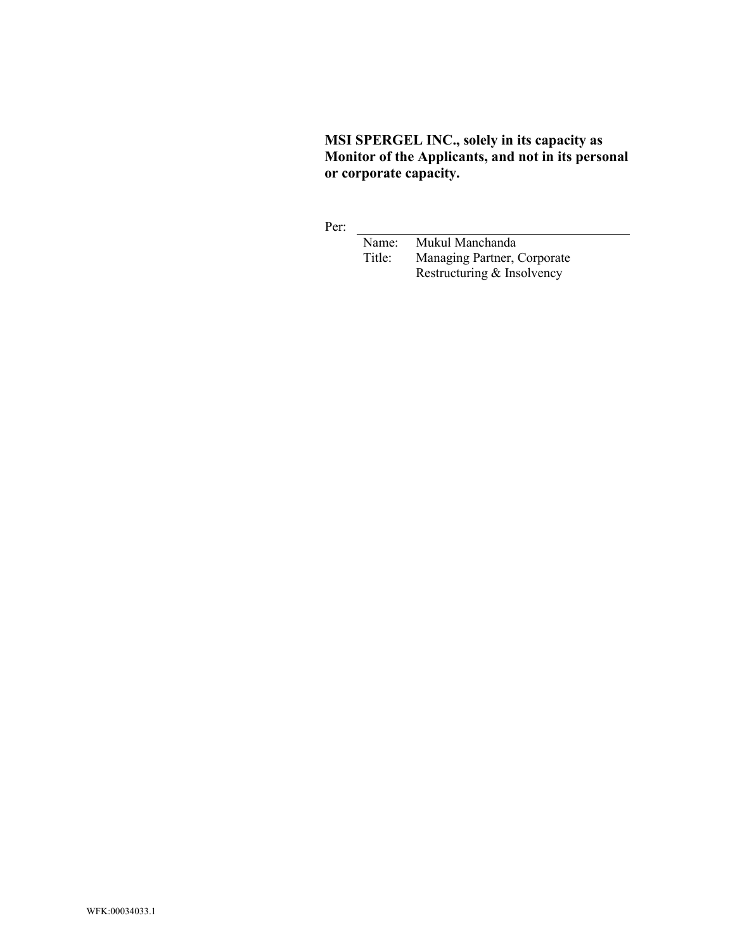**MSI SPERGEL INC., solely in its capacity as Monitor of the Applicants, and not in its personal or corporate capacity.**

Per:

Name: Mukul Manchanda<br>Title: Managing Partner, 0 Managing Partner, Corporate Restructuring & Insolvency